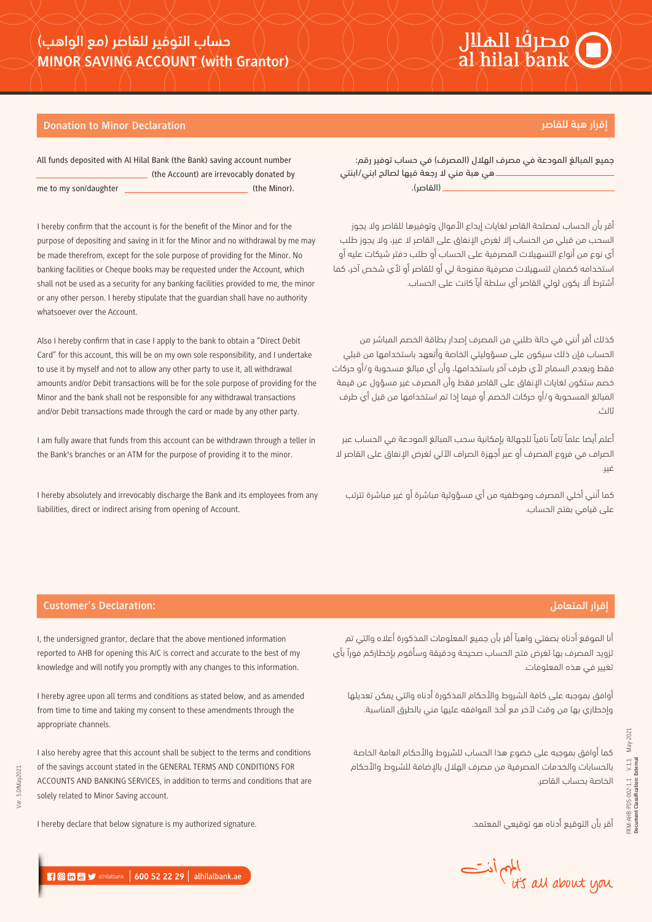# 0هصرفی الملال<br>al hilal bank

# إقرار هبة للقاصر

جميع المبالغ المودعة في مصرف الهلال (المصرف) في حساب توفير رقم: \_ هي هبة مني لا رجعة فيها لصالح ابني/ابنتي (القاصر).

أقر بأن الحساب لمصلحة القاصر لغايات إيداع الأموال وتوفيرها للقاصر ولا يجوز السحب من قبلي من الحساب إلا لغرض الإنفاق على القاصر لا غير، ولا يجوز طلب أي نوع من أنواع التسهيلات المصرفية على الحساب أو طلب دفتر شيكات عليه أو استخدامه كضمان لتسهيلات مصرفية ممنوحة لي أو للقاصر أو لأي شخص آخر، كما أشترط ألا يكون لولي القاصر أي سلطة أياً كانت على الحساب.

كذلك أقر أنني في حالة طلبي من المصرف إصدار بطاقة الخصم المباشر من الحساب فإن ذلك سيكون على مسؤوليتي الخاصة وأتعهد باستخدامها من قبلي فقط وبعدم السماح لأي طرف آخر باستخدامها، وأن أي مبالغ مسحوبة و/أو حركات خصم ستكون لغايات الإنفاق على القاصر فقط وأن المصرف غير مسؤول عن قيمة المبالغ المسحوبة و/أو حركات الخصم أو فيما إذا تم استخدامها من قبل أي طرف ثالث.

أعلم أيضا علماً تاماً نافياً للجهالة بإمكانية سحب المبالغ المودعة في الحساب عبر الصراف في فروع المصرف أو عبر أجهزة الصراف الآلي لغرض الإنفاق على القاصر لا غير.

كما أنني أخلي المصرف وموظفيه من أي مسؤولية مباشرة أو غير مباشرة تترتب على قيامي بفتح الحساب.

### **Donation to Minor Declaration**

All funds deposited with Al Hilal Bank (the Bank) saving account number (the Account) are irrevocably donated by me to my son/daughter (the Minor).

I hereby confirm that the account is for the benefit of the Minor and for the purpose of depositing and saving in it for the Minor and no withdrawal by me may be made therefrom, except for the sole purpose of providing for the Minor. No banking facilities or Cheque books may be requested under the Account, which shall not be used as a security for any banking facilities provided to me, the minor or any other person. I hereby stipulate that the guardian shall have no authority whatsoever over the Account.

Also I hereby confirm that in case I apply to the bank to obtain a "Direct Debit Card" for this account, this will be on my own sole responsibility, and I undertake to use it by myself and not to allow any other party to use it, all withdrawal amounts and/or Debit transactions will be for the sole purpose of providing for the Minor and the bank shall not be responsible for any withdrawal transactions and/or Debit transactions made through the card or made by any other party.

I am fully aware that funds from this account can be withdrawn through a teller in the Bank's branches or an ATM for the purpose of providing it to the minor.

I hereby absolutely and irrevocably discharge the Bank and its employees from any liabilities, direct or indirect arising from opening of Account.

# إقرار المتعامل

أنا الموقع أدناه بصفتي واهباً أقر بأن جميع المعلومات المذكورة أعلاه والتي تم تزويد المصرف بها لغرض فتح الحساب صحيحة ودقيقة وسأقوم بإخطاركم فوراً بأي تغيير في هذه المعلومات.

أوافق بموجبه على كافة الشروط والأحكام المذكورة أدناه والتي يمكن تعديلها وإخطاري بها من وقت لآخر مع أخذ الموافقه عليها مني بالطرق المناسبة.

كما أوافق بموجبه على خضوع هذا الحساب للشروط والأحكام العامة الخاصة بالحسابات والخدمات المصرفية من مصرف الهلال بالإضافة للشروط والأحكام الخاصة بحساب القاصر.

أقر بأن التوقيع أدناه هو توقيعي المعتمد.

FRM-AHB-PDS-002-1.1 V.1.1 May-2021 RM-AHB-PDS-002-1.1 V.1.1<br>ocument Classification: External

**Document Classification: External**

May-2021

**Customer's Declaration:**

I, the undersigned grantor, declare that the above mentioned information reported to AHB for opening this A/C is correct and accurate to the best of my knowledge and will notify you promptly with any changes to this information.

I hereby agree upon all terms and conditions as stated below, and as amended from time to time and taking my consent to these amendments through the appropriate channels.

I also hereby agree that this account shall be subject to the terms and conditions of the savings account stated in the GENERAL TERMS AND CONDITIONS FOR ACCOUNTS AND BANKING SERVICES, in addition to terms and conditions that are solely related to Minor Saving account.

I hereby declare that below signature is my authorized signature.

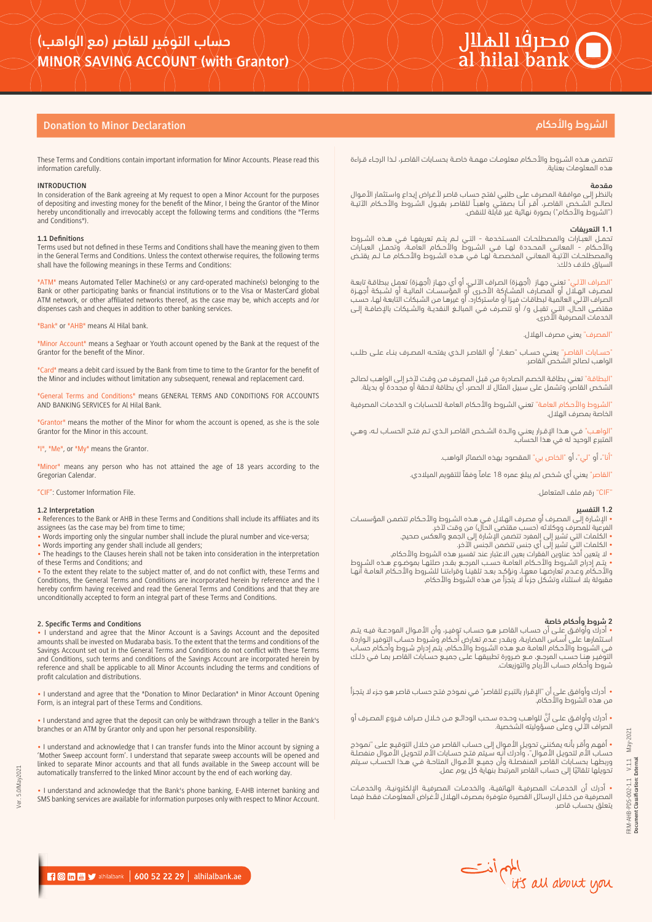## **Donation to Minor Declaration** والأحكام الشروط

These Terms and Conditions contain important information for Minor Accounts. Please read this information carefully.

#### **INTRODUCTION**

In consideration of the Bank agreeing at My request to open a Minor Account for the purposes of depositing and investing money for the benefit of the Minor, I being the Grantor of the Minor hereby unconditionally and irrevocably accept the following terms and conditions (the "Terms and Conditions").

#### **1.1 Definitions**

Terms used but not defined in these Terms and Conditions shall have the meaning given to them in the General Terms and Conditions. Unless the context otherwise requires, the following terms shall have the following meanings in these Terms and Conditions:

"ATM" means Automated Teller Machine(s) or any card-operated machine(s) belonging to the Bank or other participating banks or financial institutions or to the Visa or MasterCard global ATM network, or other affiliated networks thereof, as the case may be, which accepts and /or dispenses cash and cheques in addition to other banking services.

"Bank" or "AHB" means Al Hilal bank.

"Minor Account" means a Seghaar or Youth account opened by the Bank at the request of the Grantor for the benefit of the Minor.

"Card" means a debit card issued by the Bank from time to time to the Grantor for the benefit of the Minor and includes without limitation any subsequent, renewal and replacement card.

"General Terms and Conditions" means GENERAL TERMS AND CONDITIONS FOR ACCOUNTS AND BANKING SERVICES for Al Hilal Bank.

"Grantor" means the mother of the Minor for whom the account is opened, as she is the sole Grantor for the Minor in this account.

#### "I", "Me", or "My" means the Grantor.

"Minor" means any person who has not attained the age of 18 years according to the Gregorian Calendar.

"CIF": Customer Information File.

#### **1.2 Interpretation**

Ver. 5.0/May2021

er. 5.0/May2021

• References to the Bank or AHB in these Terms and Conditions shall include its affiliates and its assignees (as the case may be) from time to time;

• Words importing only the singular number shall include the plural number and vice-versa;

• Words importing any gender shall include all genders:

• The headings to the Clauses herein shall not be taken into consideration in the interpretation of these Terms and Conditions; and

• To the extent they relate to the subject matter of, and do not conflict with, these Terms and Conditions, the General Terms and Conditions are incorporated herein by reference and the I hereby confirm having received and read the General Terms and Conditions and that they are unconditionally accepted to form an integral part of these Terms and Conditions.

#### **2. Specific Terms and Conditions**

• I understand and agree that the Minor Account is a Savings Account and the deposited amounts shall be invested on Mudaraba basis. To the extent that the terms and conditions of the Savings Account set out in the General Terms and Conditions do not conflict with these Terms and Conditions, such terms and conditions of the Savings Account are incorporated herein by reference and shall be applicable to all Minor Accounts including the terms and conditions of profit calculation and distributions.

• I understand and agree that the "Donation to Minor Declaration" in Minor Account Opening Form, is an integral part of these Terms and Conditions.

• I understand and agree that the deposit can only be withdrawn through a teller in the Bank's branches or an ATM by Grantor only and upon her personal responsibility.

• I understand and acknowledge that I can transfer funds into the Minor account by signing a 'Mother Sweep account form'. I understand that separate sweep accounts will be opened and linked to separate Minor accounts and that all funds available in the Sweep account will be automatically transferred to the linked Minor account by the end of each working day.

• I understand and acknowledge that the Bank's phone banking, E-AHB internet banking and SMS banking services are available for information purposes only with respect to Minor Account. تتضمــن هــذه الشــروط والأحــكام معلومــات مهمــة خاصــة بحســابات القاصــر، لــذا الرجــاء قــراءة هذه المعلومات بعناية.

#### مقدمة

بالنظـر إلـى موافقـة المصـرف علـى طلبـي لفتـح حسـاب قاصـر لأغـراض إيـداع واسـتثمار الأمـوال لصالـح الشـخص القاصـر، أقــر أنــا بصفتــي واهبــاً للقاصـر بقبــول الشــروط والأحـكام الآتيــة ("الشروط والأحكام") بصورة نهائية غير قابلة للنقض.

#### 1.1 التعريفات

نحمــل العبــارات والمصطلحــات المســتخدمة - التــي لــم يتــم تعريفهــا فــي هــذه الشــروط والأحـكام - المعانـي المحــددة لهـا فــي الشــروطَ والأحـكام العامـة، وتحمــل العبــارات والمصطلحــات الآتيــة المعانــي المخصصــة لهــا فــي هــذه الشــروط والأحــكام مــا لــم يقتــض .<br>السياق خلاف ذلك:

"الصـراف الآلـي" تعنـي جهـاز (أجهـزة) الصـراف الآلـي، أو أي جهـاز (أجهـزة) تعمـل ببطاقـة تابعـة لمصــرف الهــلآل أو المصــارف المشــاركة الأخــرى آو المؤسســات الماليــة أو لشــبكة أجهــزة الصـراف الآلـي العالميـة لبطاقـات فيـزا أو ماسـتركارد، أو غيرهـا مـن الشـبكات التابعـة لهـا، حسـب مقتضــى الحــال، التــي تقبــل و/ أو تتصــرف فــي المبالــغ النقديــة والشــيكات بالإضافــة إلــي الخدمات المصرفية الأخرى.

المصرف" يعني مصرف الهلال.

<sup>.</sup>حســابات القاصـر" يعنـي حســاب "صغـار" أو القاصـر الـذي يفتحــه المصــرف بنـاء علــى طلــب الواهب لصالح الشخص القاصر.

"البطاقـة" تعنـي بطاقـة الخصـم الصـادرة مـن قبـل المصـرف مـن وقـت لآخـر إلـى الواهـب لصالـح الشخص القاصر، وتشمل على سبيل المثال لا الحصر، أي بطاقة لاحقة أو مجددة أو بديلة.

"الشـروط والأحـكام العامـة" تعنـي الشـروط والأحـكام العامـة للحسـابات و الخدمـات المصرفيـة الخاصة بمصرف الهلال.

"الواهــب" فــي هــذا الإقــرار يعنــي والــدة الشــخص القاصــر الــذي تــم فتــح الحســاب لــه، وهــي المتبرع الوحيد له في هذا الحساب.

"أنا"، أو "لي"، أو "الخاص بي" المقصود بهذه الضمائر الواهب.

"القاصر" يعني أي شخص لم يبلغ عمره 18 عاماً وفقاً للتقويم الميلادي.

"CIF "رقم ملف المتعامل.

### 1.2 التفسير

• الإشـارة إلـى المصـرف أو مصـرف الهـلال فـي هـذه الشـروط والأحـكام تتضمـن المؤسسـات الفرعية للمصرف ووكلائه (حسب مقتضى الحال) من وقت لآخر.

• الكلمات التي تشير إلى المفرد تتضمن الإشارة إلى الجمع والعكس صحيح.

- الكلمات التي تشير إلى أي جنس تتضمن الجنس الآخر.
- لا يتعين أخذ عناوين الفقرات بعين الاعتبار عند تفسير هذه الشروط والأحكام. • يتــم إدراج الشــروط والأحــكام العامــة حســب المرجــع بقــدر صلتهــا بموضــوع هــذه الشــروط

والأحــكام وعــدم تعارضهــا معهــا، ونؤكــد بعــد تلقينــا وقراءتنــا للشــروط والأحــكام العامــة أنهــا مقبولة بلا استثناء وتشكل جزءاً لا يتجزأ من هذه الشروط والأحكام.

### 2 شروط وأحكام خاصة

• أدرك وأوافــق علــى أن حســاب القاصــر هــو حســاب توفيــر، وأن الأمــوال المودعــة فيــه يتــم<br>سـتثمارها علــى أسـاس المضاربـة، وبقــدر عــدم تعـارض أحـكام وشــروط حسـاب التوفيـر الـواردة فـي الشـروط والأحـكام العامـة مـع هـذه الشـروط والأحـكام، يتـم إدراج شـروط وأحـكام حسـاب التوفيــر هنــا حســب المرجــع، مــع ضــرورة تطبيقهــا علــى جميــع حســابات القاصــر بمــا فــي ذلــك شروط وأحكام حساب الأرباح والتوزيعات.

• أدرك وأوافـق علـى أن "الإقـرار بالتبرع للقاصر" فـي نمـوذج فتـح حساب قاصر هـو جزء لا يتجزآ<br>من هذه الشروط والأحكام.

• َّ أدرك وأوافــق علــى أن للواهــب وحــده ســحب الودائــع مــن خــلال صــراف فــروع المصــرف أو الصراف الآلي وعلى مسؤوليته الشخصية.

• أفهـم وأقـر بأنـه يمكننـي تحويـل الأمـوال إلـى حسـاب القاصـر مـن خـلال التوقيـع علـى "نمـوذج<br>حسـاب الأم لتحويـل الأمـوال"، وأدرك أنـه سـيتم فتـح حسـابات الأم لتحويـل الأمـوال منفصلـة وربطهــا بحســابات القاصــر المنفصلــة وأن جميــع الأمــوال المتاحــة فــي هــذا الحســاب ســيتم ً تحويلها تلقائيا إلى حساب القاصر المرتبط بنهاية كل يوم عمل.

• أدرك أن الخدمــات المصرفيــة الهاتفيــة، والخدمــات المصرفيــة الإلكترونيــة، والخدمــات المصرفيـة مـن خـلال الرسـائل القصيـرة متوفـرة بمصـرف الهـلال لأغـراض المعلومـات فقـط فيمـا يتعلق بحساب قاصر.